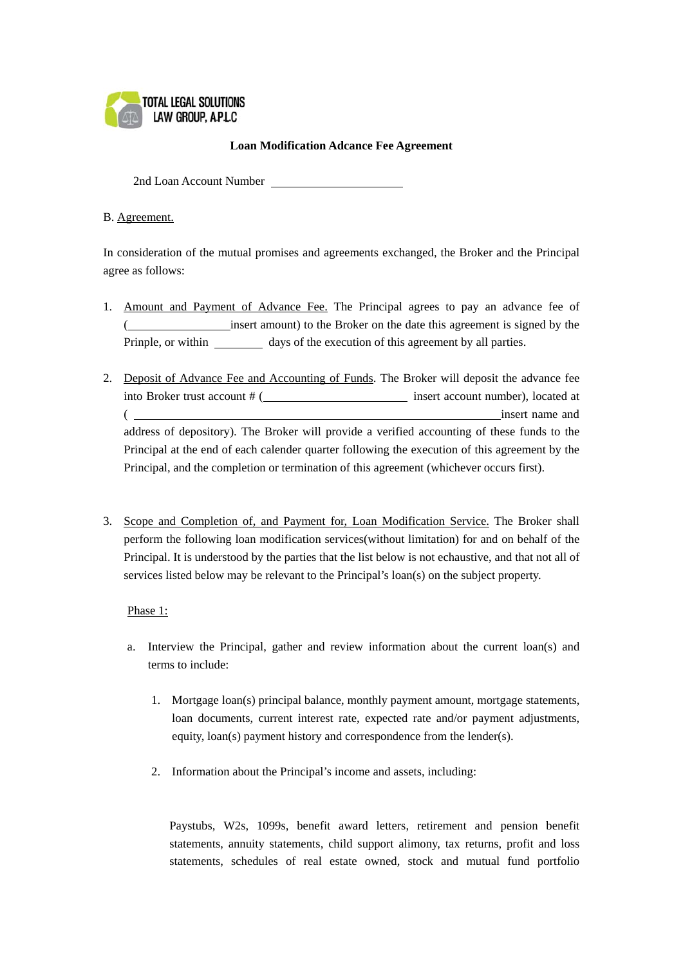

## **Loan Modification Adcance Fee Agreement**

2nd Loan Account Number

## B. Agreement.

In consideration of the mutual promises and agreements exchanged, the Broker and the Principal agree as follows:

- 1. Amount and Payment of Advance Fee. The Principal agrees to pay an advance fee of insert amount) to the Broker on the date this agreement is signed by the Prinple, or within days of the execution of this agreement by all parties.
- 2. Deposit of Advance Fee and Accounting of Funds. The Broker will deposit the advance fee into Broker trust account # ( insert account number), located at ( insert name and address of depository). The Broker will provide a verified accounting of these funds to the Principal at the end of each calender quarter following the execution of this agreement by the Principal, and the completion or termination of this agreement (whichever occurs first).
- 3. Scope and Completion of, and Payment for, Loan Modification Service. The Broker shall perform the following loan modification services(without limitation) for and on behalf of the Principal. It is understood by the parties that the list below is not echaustive, and that not all of services listed below may be relevant to the Principal's loan(s) on the subject property.

## Phase 1:

- a. Interview the Principal, gather and review information about the current loan(s) and terms to include:
	- 1. Mortgage loan(s) principal balance, monthly payment amount, mortgage statements, loan documents, current interest rate, expected rate and/or payment adjustments, equity, loan(s) payment history and correspondence from the lender(s).
	- 2. Information about the Principal's income and assets, including:

Paystubs, W2s, 1099s, benefit award letters, retirement and pension benefit statements, annuity statements, child support alimony, tax returns, profit and loss statements, schedules of real estate owned, stock and mutual fund portfolio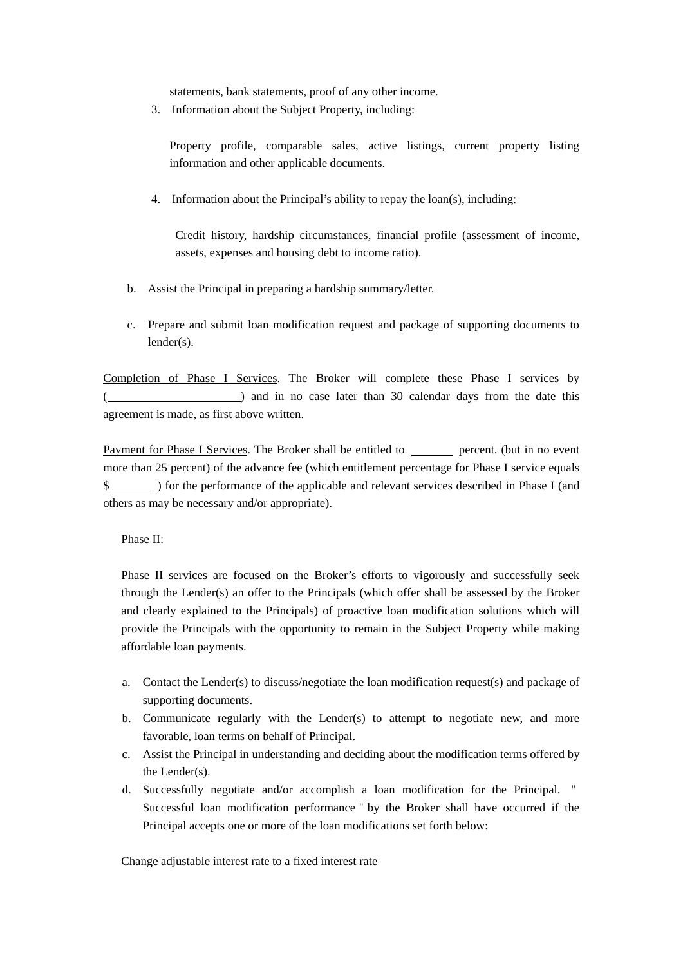statements, bank statements, proof of any other income.

3. Information about the Subject Property, including:

Property profile, comparable sales, active listings, current property listing information and other applicable documents.

4. Information about the Principal's ability to repay the loan(s), including:

Credit history, hardship circumstances, financial profile (assessment of income, assets, expenses and housing debt to income ratio).

- b. Assist the Principal in preparing a hardship summary/letter.
- c. Prepare and submit loan modification request and package of supporting documents to lender(s).

Completion of Phase I Services. The Broker will complete these Phase I services by ( ) and in no case later than 30 calendar days from the date this agreement is made, as first above written.

Payment for Phase I Services. The Broker shall be entitled to percent. (but in no event more than 25 percent) of the advance fee (which entitlement percentage for Phase I service equals \$ ) for the performance of the applicable and relevant services described in Phase I (and others as may be necessary and/or appropriate).

#### Phase II:

 Phase II services are focused on the Broker's efforts to vigorously and successfully seek through the Lender(s) an offer to the Principals (which offer shall be assessed by the Broker and clearly explained to the Principals) of proactive loan modification solutions which will provide the Principals with the opportunity to remain in the Subject Property while making affordable loan payments.

- a. Contact the Lender(s) to discuss/negotiate the loan modification request(s) and package of supporting documents.
- b. Communicate regularly with the Lender(s) to attempt to negotiate new, and more favorable, loan terms on behalf of Principal.
- c. Assist the Principal in understanding and deciding about the modification terms offered by the Lender(s).
- d. Successfully negotiate and/or accomplish a loan modification for the Principal. " Successful loan modification performance"by the Broker shall have occurred if the Principal accepts one or more of the loan modifications set forth below:

Change adjustable interest rate to a fixed interest rate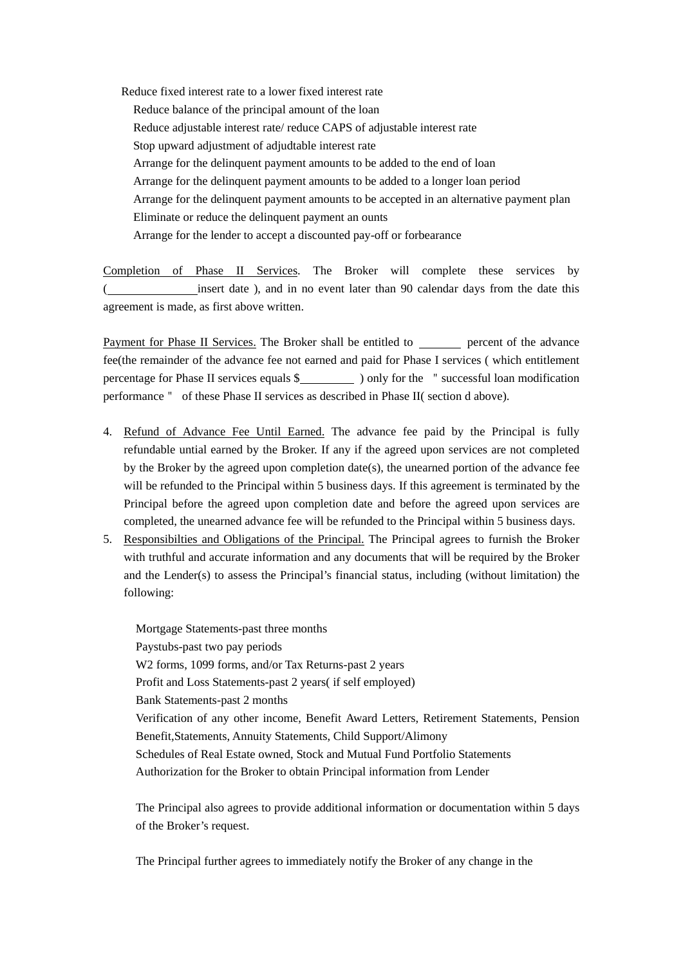Reduce fixed interest rate to a lower fixed interest rate Reduce balance of the principal amount of the loan Reduce adjustable interest rate/ reduce CAPS of adjustable interest rate Stop upward adjustment of adjudtable interest rate Arrange for the delinquent payment amounts to be added to the end of loan Arrange for the delinquent payment amounts to be added to a longer loan period Arrange for the delinquent payment amounts to be accepted in an alternative payment plan Eliminate or reduce the delinquent payment an ounts Arrange for the lender to accept a discounted pay-off or forbearance

Completion of Phase II Services. The Broker will complete these services by insert date ), and in no event later than 90 calendar days from the date this agreement is made, as first above written.

Payment for Phase II Services. The Broker shall be entitled to percent of the advance fee(the remainder of the advance fee not earned and paid for Phase I services ( which entitlement percentage for Phase II services equals \$ ) only for the "successful loan modification performance" of these Phase II services as described in Phase II( section d above).

- 4. Refund of Advance Fee Until Earned. The advance fee paid by the Principal is fully refundable untial earned by the Broker. If any if the agreed upon services are not completed by the Broker by the agreed upon completion date(s), the unearned portion of the advance fee will be refunded to the Principal within 5 business days. If this agreement is terminated by the Principal before the agreed upon completion date and before the agreed upon services are completed, the unearned advance fee will be refunded to the Principal within 5 business days.
- 5. Responsibilties and Obligations of the Principal. The Principal agrees to furnish the Broker with truthful and accurate information and any documents that will be required by the Broker and the Lender(s) to assess the Principal's financial status, including (without limitation) the following:

Mortgage Statements-past three months Paystubs-past two pay periods W2 forms, 1099 forms, and/or Tax Returns-past 2 years Profit and Loss Statements-past 2 years( if self employed) Bank Statements-past 2 months Verification of any other income, Benefit Award Letters, Retirement Statements, Pension Benefit,Statements, Annuity Statements, Child Support/Alimony Schedules of Real Estate owned, Stock and Mutual Fund Portfolio Statements Authorization for the Broker to obtain Principal information from Lender

 The Principal also agrees to provide additional information or documentation within 5 days of the Broker's request.

The Principal further agrees to immediately notify the Broker of any change in the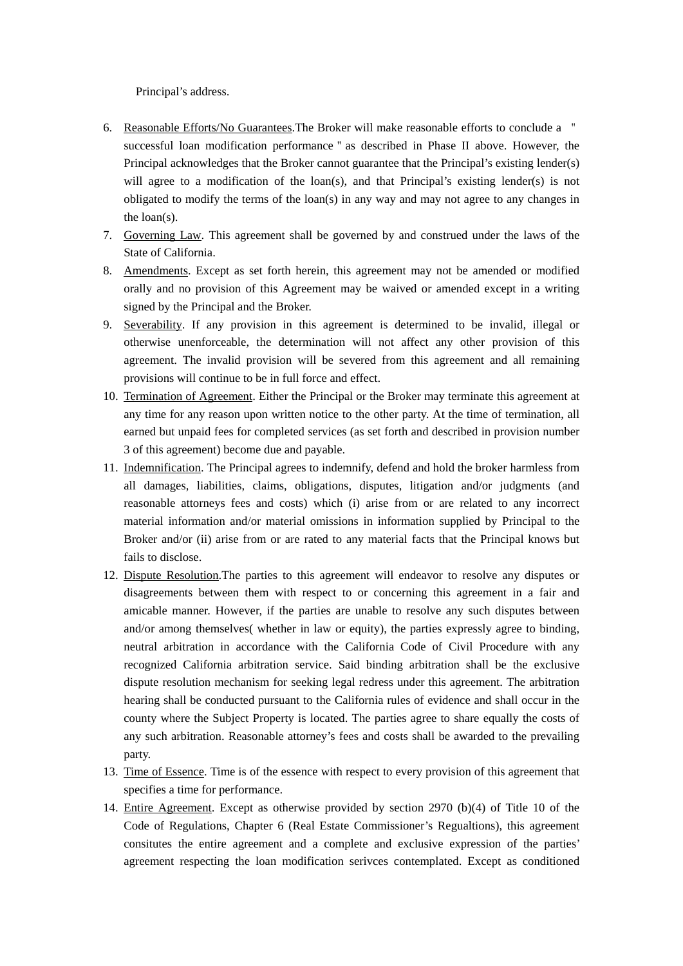Principal's address.

- 6. Reasonable Efforts/No Guarantees.The Broker will make reasonable efforts to conclude a " successful loan modification performance"as described in Phase II above. However, the Principal acknowledges that the Broker cannot guarantee that the Principal's existing lender(s) will agree to a modification of the loan(s), and that Principal's existing lender(s) is not obligated to modify the terms of the loan(s) in any way and may not agree to any changes in the loan(s).
- 7. Governing Law. This agreement shall be governed by and construed under the laws of the State of California.
- 8. Amendments. Except as set forth herein, this agreement may not be amended or modified orally and no provision of this Agreement may be waived or amended except in a writing signed by the Principal and the Broker.
- 9. Severability. If any provision in this agreement is determined to be invalid, illegal or otherwise unenforceable, the determination will not affect any other provision of this agreement. The invalid provision will be severed from this agreement and all remaining provisions will continue to be in full force and effect.
- 10. Termination of Agreement. Either the Principal or the Broker may terminate this agreement at any time for any reason upon written notice to the other party. At the time of termination, all earned but unpaid fees for completed services (as set forth and described in provision number 3 of this agreement) become due and payable.
- 11. Indemnification. The Principal agrees to indemnify, defend and hold the broker harmless from all damages, liabilities, claims, obligations, disputes, litigation and/or judgments (and reasonable attorneys fees and costs) which (i) arise from or are related to any incorrect material information and/or material omissions in information supplied by Principal to the Broker and/or (ii) arise from or are rated to any material facts that the Principal knows but fails to disclose.
- 12. Dispute Resolution.The parties to this agreement will endeavor to resolve any disputes or disagreements between them with respect to or concerning this agreement in a fair and amicable manner. However, if the parties are unable to resolve any such disputes between and/or among themselves( whether in law or equity), the parties expressly agree to binding, neutral arbitration in accordance with the California Code of Civil Procedure with any recognized California arbitration service. Said binding arbitration shall be the exclusive dispute resolution mechanism for seeking legal redress under this agreement. The arbitration hearing shall be conducted pursuant to the California rules of evidence and shall occur in the county where the Subject Property is located. The parties agree to share equally the costs of any such arbitration. Reasonable attorney's fees and costs shall be awarded to the prevailing party.
- 13. Time of Essence. Time is of the essence with respect to every provision of this agreement that specifies a time for performance.
- 14. Entire Agreement. Except as otherwise provided by section 2970 (b)(4) of Title 10 of the Code of Regulations, Chapter 6 (Real Estate Commissioner's Regualtions), this agreement consitutes the entire agreement and a complete and exclusive expression of the parties' agreement respecting the loan modification serivces contemplated. Except as conditioned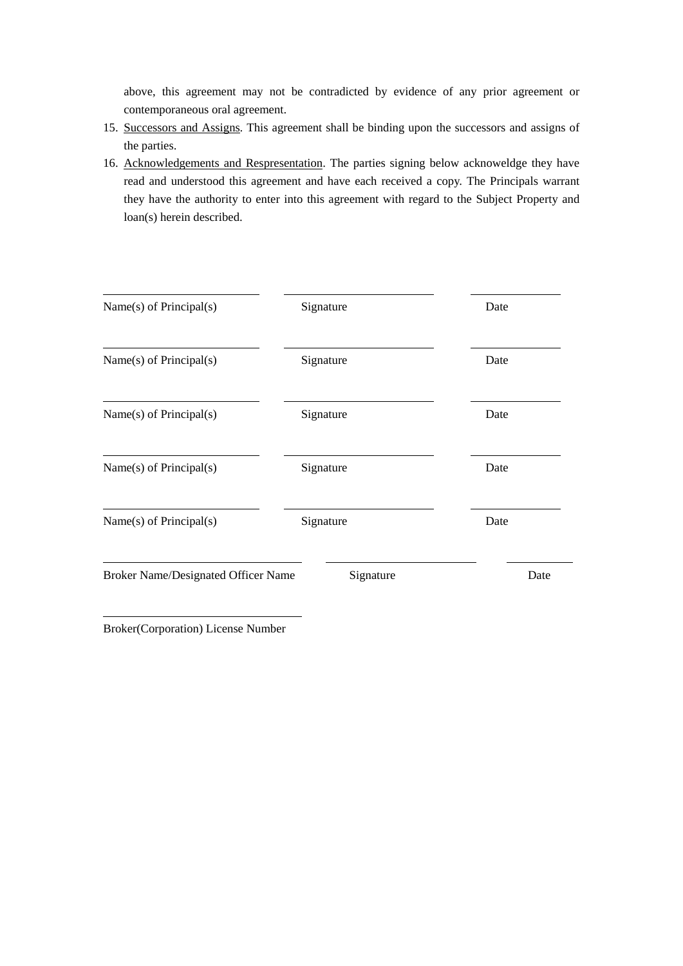above, this agreement may not be contradicted by evidence of any prior agreement or contemporaneous oral agreement.

- 15. Successors and Assigns. This agreement shall be binding upon the successors and assigns of the parties.
- 16. Acknowledgements and Respresentation. The parties signing below acknoweldge they have read and understood this agreement and have each received a copy. The Principals warrant they have the authority to enter into this agreement with regard to the Subject Property and loan(s) herein described.

| Name $(s)$ of Principal $(s)$              | Signature | Date |
|--------------------------------------------|-----------|------|
| Name $(s)$ of Principal $(s)$              | Signature | Date |
| Name $(s)$ of Principal $(s)$              | Signature | Date |
| Name $(s)$ of Principal $(s)$              | Signature | Date |
| Name(s) of Principal(s)                    | Signature | Date |
| <b>Broker Name/Designated Officer Name</b> | Signature | Date |

Broker(Corporation) License Number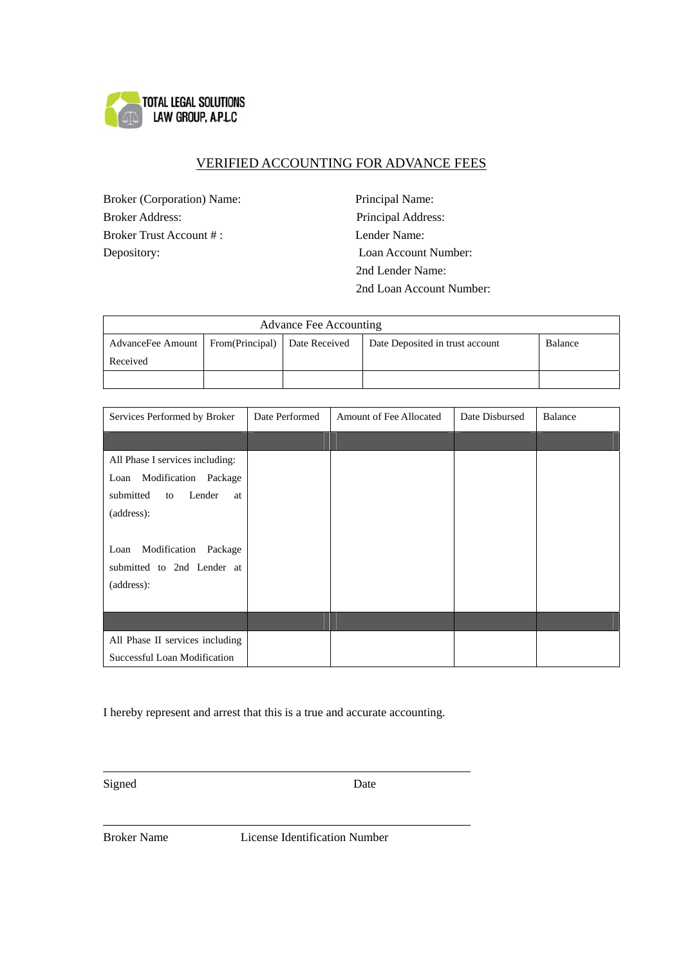

# VERIFIED ACCOUNTING FOR ADVANCE FEES

Broker (Corporation) Name: Principal Name: Broker Address: Principal Address: Broker Trust Account # : Lender Name: Depository: Loan Account Number:

 2nd Lender Name: 2nd Loan Account Number:

| Advance Fee Accounting                              |  |  |                                 |         |  |
|-----------------------------------------------------|--|--|---------------------------------|---------|--|
| AdvanceFee Amount   From(Principal)   Date Received |  |  | Date Deposited in trust account | Balance |  |
| Received                                            |  |  |                                 |         |  |
|                                                     |  |  |                                 |         |  |

| Services Performed by Broker    | Date Performed | Amount of Fee Allocated | Date Disbursed | <b>Balance</b> |
|---------------------------------|----------------|-------------------------|----------------|----------------|
|                                 |                |                         |                |                |
| All Phase I services including: |                |                         |                |                |
| Modification<br>Package<br>Loan |                |                         |                |                |
| submitted<br>Lender<br>to<br>at |                |                         |                |                |
| (address):                      |                |                         |                |                |
|                                 |                |                         |                |                |
| Modification<br>Loan<br>Package |                |                         |                |                |
| submitted to 2nd Lender at      |                |                         |                |                |
| (address):                      |                |                         |                |                |
|                                 |                |                         |                |                |
|                                 |                |                         |                |                |
| All Phase II services including |                |                         |                |                |
| Successful Loan Modification    |                |                         |                |                |

I hereby represent and arrest that this is a true and accurate accounting.

Signed Date

 $\overline{a}$ 

 $\overline{a}$ 

Broker Name License Identification Number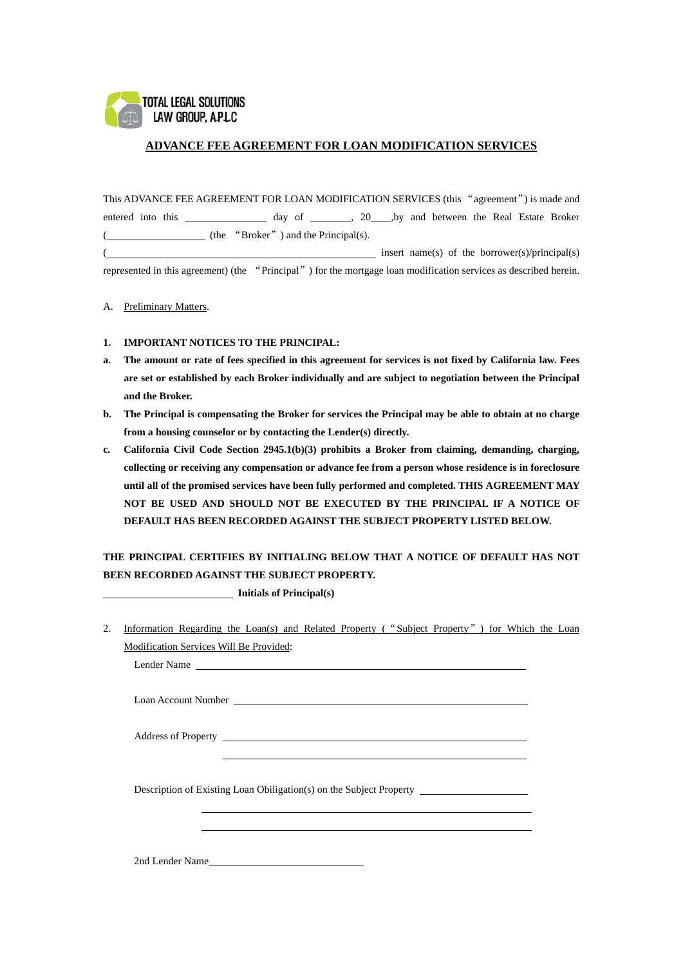

### **ADVANCE FEE AGREEMENT FOR LOAN MODIFICATION SERVICES**

This ADVANCE FEE AGREEMENT FOR LOAN MODIFICATION SERVICES (this "agreement") is made and entered into this \_\_\_\_\_\_\_\_\_\_\_\_\_ day of \_\_\_\_\_\_, 20\_\_\_,by and between the Real Estate Broker (  $(the$  "Broker") and the Principal(s). ( insert name(s) of the borrower(s)/principal(s)

represented in this agreement) (the "Principal") for the mortgage loan modification services as described herein.

A. Preliminary Matters.

#### **1. IMPORTANT NOTICES TO THE PRINCIPAL:**

- **a. The amount or rate of fees specified in this agreement for services is not fixed by California law. Fees are set or established by each Broker individually and are subject to negotiation between the Principal and the Broker.**
- **b. The Principal is compensating the Broker for services the Principal may be able to obtain at no charge from a housing counselor or by contacting the Lender(s) directly.**
- **c. California Civil Code Section 2945.1(b)(3) prohibits a Broker from claiming, demanding, charging, collecting or receiving any compensation or advance fee from a person whose residence is in foreclosure until all of the promised services have been fully performed and completed. THIS AGREEMENT MAY NOT BE USED AND SHOULD NOT BE EXECUTED BY THE PRINCIPAL IF A NOTICE OF DEFAULT HAS BEEN RECORDED AGAINST THE SUBJECT PROPERTY LISTED BELOW.**

# **THE PRINCIPAL CERTIFIES BY INITIALING BELOW THAT A NOTICE OF DEFAULT HAS NOT BEEN RECORDED AGAINST THE SUBJECT PROPERTY.**

 **Initials of Principal(s)** 

2. Information Regarding the Loan(s) and Related Property ("Subject Property") for Which the Loan Modification Services Will Be Provided:

Lender Name

Loan Account Number

Address of Property

Description of Existing Loan Obiligation(s) on the Subject Property

2nd Lender Name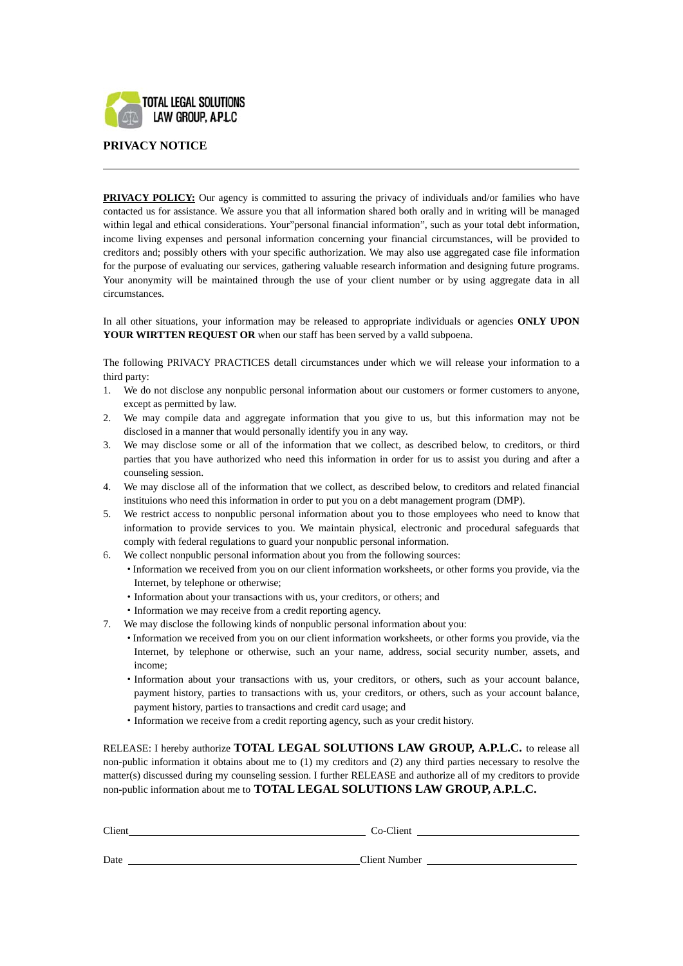

## **PRIVACY NOTICE**

 $\overline{a}$ 

**PRIVACY POLICY:** Our agency is committed to assuring the privacy of individuals and/or families who have contacted us for assistance. We assure you that all information shared both orally and in writing will be managed within legal and ethical considerations. Your"personal financial information", such as your total debt information, income living expenses and personal information concerning your financial circumstances, will be provided to creditors and; possibly others with your specific authorization. We may also use aggregated case file information for the purpose of evaluating our services, gathering valuable research information and designing future programs. Your anonymity will be maintained through the use of your client number or by using aggregate data in all circumstances.

In all other situations, your information may be released to appropriate individuals or agencies **ONLY UPON YOUR WIRTTEN REQUEST OR** when our staff has been served by a valld subpoena.

The following PRIVACY PRACTICES detall circumstances under which we will release your information to a third party:

- 1. We do not disclose any nonpublic personal information about our customers or former customers to anyone, except as permitted by law.
- 2. We may compile data and aggregate information that you give to us, but this information may not be disclosed in a manner that would personally identify you in any way.
- 3. We may disclose some or all of the information that we collect, as described below, to creditors, or third parties that you have authorized who need this information in order for us to assist you during and after a counseling session.
- 4. We may disclose all of the information that we collect, as described below, to creditors and related financial instituions who need this information in order to put you on a debt management program (DMP).
- 5. We restrict access to nonpublic personal information about you to those employees who need to know that information to provide services to you. We maintain physical, electronic and procedural safeguards that comply with federal regulations to guard your nonpublic personal information.
- 6. We collect nonpublic personal information about you from the following sources:
	- ·Information we received from you on our client information worksheets, or other forms you provide, via the Internet, by telephone or otherwise;
	- ·Information about your transactions with us, your creditors, or others; and
	- ·Information we may receive from a credit reporting agency.
- 7. We may disclose the following kinds of nonpublic personal information about you:
	- ·Information we received from you on our client information worksheets, or other forms you provide, via the Internet, by telephone or otherwise, such an your name, address, social security number, assets, and income;
	- ·Information about your transactions with us, your creditors, or others, such as your account balance, payment history, parties to transactions with us, your creditors, or others, such as your account balance, payment history, parties to transactions and credit card usage; and
	- ·Information we receive from a credit reporting agency, such as your credit history.

RELEASE: I hereby authorize **TOTAL LEGAL SOLUTIONS LAW GROUP, A.P.L.C.** to release all non-public information it obtains about me to (1) my creditors and (2) any third parties necessary to resolve the matter(s) discussed during my counseling session. I further RELEASE and authorize all of my creditors to provide non-public information about me to **TOTAL LEGAL SOLUTIONS LAW GROUP, A.P.L.C.**

| Client | Co-Client            |
|--------|----------------------|
|        |                      |
| Date   | <b>Client Number</b> |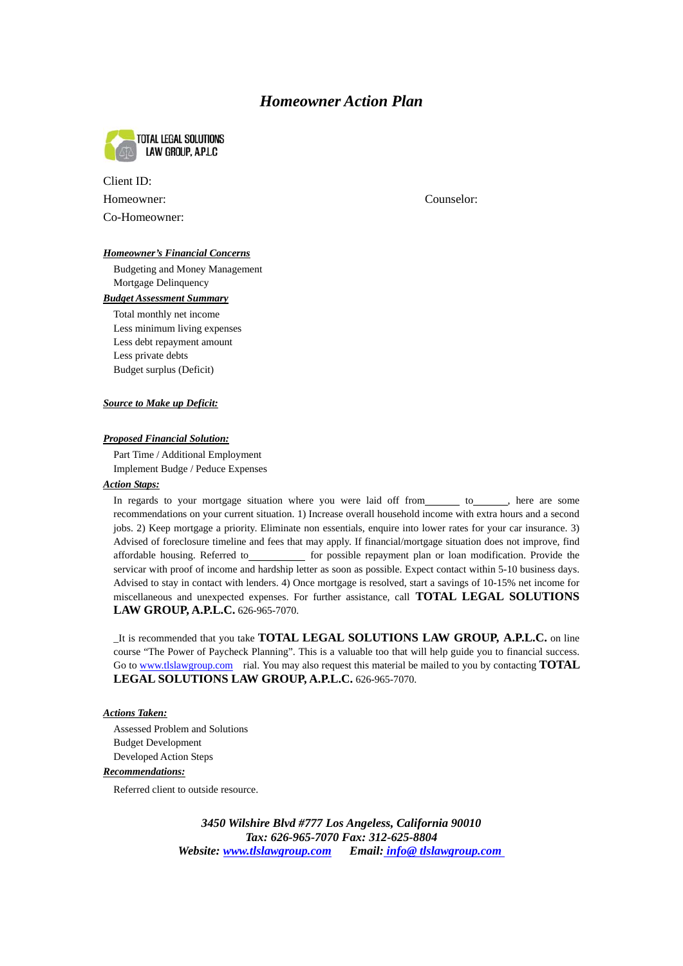# *Homeowner Action Plan*



| Client ID:    |  |
|---------------|--|
| Homeowner:    |  |
| Co-Homeowner: |  |

Counselor:

#### *Homeowner's Financial Concerns*

Budgeting and Money Management Mortgage Delinquency

## *Budget Assessment Summary*

Total monthly net income Less minimum living expenses Less debt repayment amount Less private debts Budget surplus (Deficit)

#### *Source to Make up Deficit:*

#### *Proposed Financial Solution:*

Part Time / Additional Employment Implement Budge / Peduce Expenses

#### *Action Staps:*

In regards to your mortgage situation where you were laid off from to be to be are some recommendations on your current situation. 1) Increase overall household income with extra hours and a second jobs. 2) Keep mortgage a priority. Eliminate non essentials, enquire into lower rates for your car insurance. 3) Advised of foreclosure timeline and fees that may apply. If financial/mortgage situation does not improve, find affordable housing. Referred to\_\_\_\_\_\_\_\_\_\_\_ for possible repayment plan or loan modification. Provide the servicar with proof of income and hardship letter as soon as possible. Expect contact within 5-10 business days. Advised to stay in contact with lenders. 4) Once mortgage is resolved, start a savings of 10-15% net income for miscellaneous and unexpected expenses. For further assistance, call **TOTAL LEGAL SOLUTIONS LAW GROUP, A.P.L.C.** 626-965-7070.

\_It is recommended that you take **TOTAL LEGAL SOLUTIONS LAW GROUP, A.P.L.C.** on line course "The Power of Paycheck Planning". This is a valuable too that will help guide you to financial success. Go to [www.tlslawgroup.com](http://www.tlslawgroup.com/) rial. You may also request this material be mailed to you by contacting **TOTAL LEGAL SOLUTIONS LAW GROUP, A.P.L.C.** 626-965-7070.

### *Actions Taken:*

Assessed Problem and Solutions Budget Development Developed Action Steps

#### *Recommendations:*

Referred client to outside resource.

*3450 Wilshire Blvd #777 Los Angeless, California 90010 Tax: 626-965-7070 Fax: 312-625-8804 Website: www.tlslawgroup.com Email: [info@ tlslawgroup.com](mailto:info@stouchbank.com)*